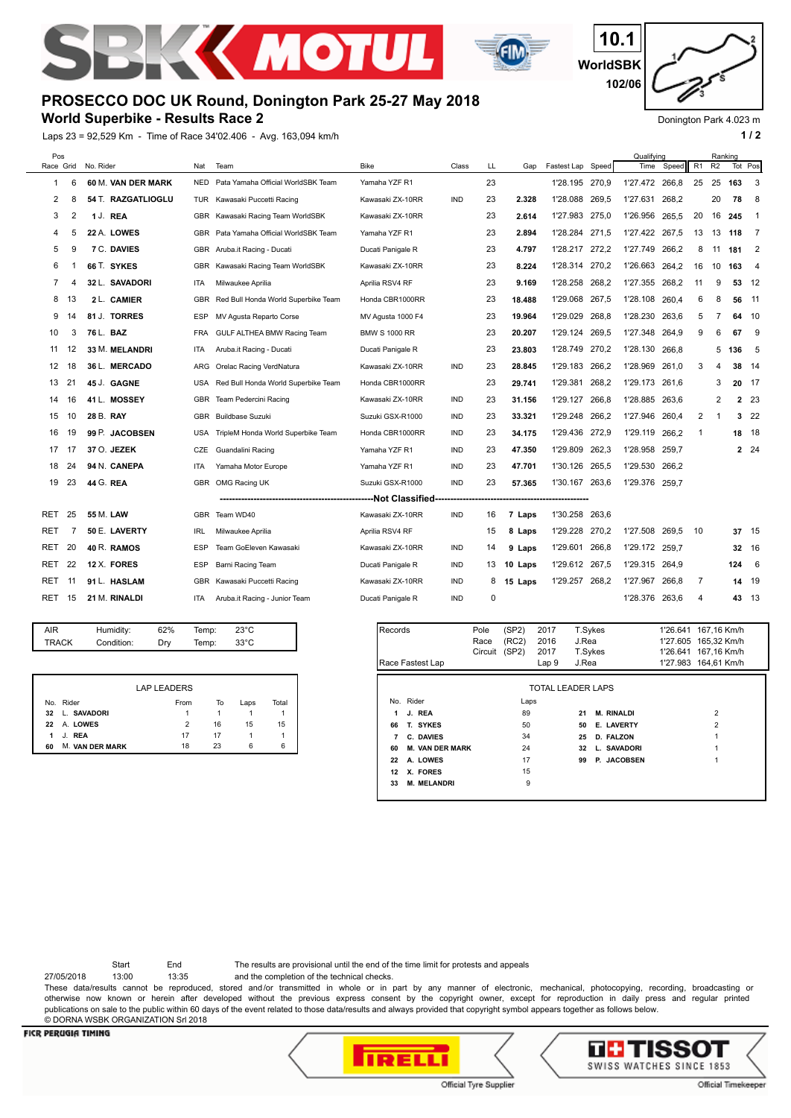



## **World Superbike - Results Race 2**

Laps 23 = 92,529 Km - Time of Race 34'02.406 - Avg. 163,094 km/h **1 and 2** 1 and 2



Donington Park 4.023 m

| Pos        |                                                                         |                    |            |                                     |                      |            |    |         |                   | Qualifying |                |       | Ranking |                |              |                |
|------------|-------------------------------------------------------------------------|--------------------|------------|-------------------------------------|----------------------|------------|----|---------|-------------------|------------|----------------|-------|---------|----------------|--------------|----------------|
| Race Grid  |                                                                         | No. Rider          | Nat        | Team                                | <b>Bike</b>          | Class      | LL | Gap     | Fastest Lap Speed |            | Time           | Speed | R1      | R <sub>2</sub> | Tot Pos      |                |
| 1          | 6                                                                       | 60 M. VAN DER MARK | <b>NED</b> | Pata Yamaha Official WorldSBK Team  | Yamaha YZF R1        |            | 23 |         | 1'28.195 270.9    |            | 1'27.472       | 266.8 | 25      | 25             | 163          | 3              |
| 2          | 8                                                                       | 54 T. RAZGATLIOGLU | TUR        | Kawasaki Puccetti Racing            | Kawasaki ZX-10RR     | <b>IND</b> | 23 | 2.328   | 1'28.088          | 269.5      | 1'27.631       | 268,2 |         | 20             | 78           | 8              |
| 3          | 2                                                                       | 1 J. REA           | GBR        | Kawasaki Racing Team WorldSBK       | Kawasaki ZX-10RR     |            | 23 | 2.614   | 1'27.983          | 275,0      | 1'26.956       | 265.5 | 20      | 16             | 245          | - 1            |
| 4          | 5                                                                       | 22 A. LOWES        | <b>GBR</b> | Pata Yamaha Official WorldSBK Team  | Yamaha YZF R1        |            | 23 | 2.894   | 1'28.284          | 271.5      | 1'27.422       | 267,5 | 13      | 13             | 118          | -7             |
| 5          | 9                                                                       | <b>7 C. DAVIES</b> |            | GBR Aruba.it Racing - Ducati        | Ducati Panigale R    |            | 23 | 4.797   | 1'28.217          | 272,2      | 1'27.749       | 266,2 | 8       | 11             | 181          | $\overline{2}$ |
| 6          | -1                                                                      | 66 T. SYKES        | <b>GBR</b> | Kawasaki Racing Team WorldSBK       | Kawasaki ZX-10RR     |            | 23 | 8.224   | 1'28.314          | 270.2      | 1'26.663       | 264.2 | 16      | 10             | 163          | - 4            |
| 7          |                                                                         | 32 L. SAVADORI     | ITA        | Milwaukee Aprilia                   | Aprilia RSV4 RF      |            | 23 | 9.169   | 1'28.258 268,2    |            | 1'27.355       | 268.2 | 11      | 9              | 53           | - 12           |
| 8          | 13                                                                      | 2 L. CAMIER        | <b>GBR</b> | Red Bull Honda World Superbike Team | Honda CBR1000RR      |            | 23 | 18.488  | 1'29.068          | 267.5      | 1'28.108       | 260.4 | 6       | 8              | 56           | 11             |
| 9          | 14                                                                      | 81 J. TORRES       | <b>ESP</b> | MV Agusta Reparto Corse             | MV Agusta 1000 F4    |            | 23 | 19.964  | 1'29.029          | 268.8      | 1'28.230       | 263.6 | 5       | 7              | 64           | - 10           |
| 10         | 3                                                                       | 76 L. BAZ          | <b>FRA</b> | GULF ALTHEA BMW Racing Team         | <b>BMW S 1000 RR</b> |            | 23 | 20.207  | 1'29.124          | 269,5      | 1'27.348       | 264,9 | 9       | 6              | 67           | 9              |
| 11         | 12                                                                      | 33 M. MELANDRI     | <b>ITA</b> | Aruba.it Racing - Ducati            | Ducati Panigale R    |            | 23 | 23.803  | 1'28.749          | 270,2      | 1'28.130       | 266.8 |         | 5              | 136          | -5             |
| 12         | 18                                                                      | 36 L. MERCADO      | ARG        | Orelac Racing VerdNatura            | Kawasaki ZX-10RR     | <b>IND</b> | 23 | 28.845  | 1'29.183          | 266,2      | 1'28.969       | 261.0 | 3       | 4              | 38           | -14            |
| 13         | 21                                                                      | 45 J. GAGNE        | <b>USA</b> | Red Bull Honda World Superbike Team | Honda CBR1000RR      |            | 23 | 29.741  | 1'29.381          | 268,2      | 1'29.173       | 261.6 |         | 3              | 20           | - 17           |
| 14         | 16                                                                      | 41 L. MOSSEY       | <b>GBR</b> | Team Pedercini Racing               | Kawasaki ZX-10RR     | <b>IND</b> | 23 | 31.156  | 1'29.127          | 266.8      | 1'28.885       | 263,6 |         | 2              | $\mathbf{2}$ | 23             |
| 15         | 10                                                                      | 28 B. RAY          | <b>GBR</b> | <b>Buildbase Suzuki</b>             | Suzuki GSX-R1000     | <b>IND</b> | 23 | 33.321  | 1'29.248          | 266,2      | 1'27.946       | 260,4 | 2       | 1              | 3            | 22             |
| 16         | 19                                                                      | 99 P. JACOBSEN     | <b>USA</b> | TripleM Honda World Superbike Team  | Honda CBR1000RR      | <b>IND</b> | 23 | 34.175  | 1'29.436          | 272.9      | 1'29.119       | 266.2 | 1       |                | 18 18        |                |
| 17         | 17                                                                      | 37 O. JEZEK        | CZE        | Guandalini Racing                   | Yamaha YZF R1        | <b>IND</b> | 23 | 47.350  | 1'29.809          | 262,3      | 1'28.958       | 259,7 |         |                |              | 2 24           |
| 18         | 24                                                                      | 94 N. CANEPA       | ITA        | Yamaha Motor Europe                 | Yamaha YZF R1        | <b>IND</b> | 23 | 47.701  | 1'30.126          | 265,5      | 1'29.530       | 266.2 |         |                |              |                |
| 19         | 23                                                                      | 44 G. REA          | <b>GBR</b> | OMG Racing UK                       | Suzuki GSX-R1000     | <b>IND</b> | 23 | 57.365  | 1'30.167          | 263,6      | 1'29.376       | 259.7 |         |                |              |                |
|            | -------Not Classified<br>-----<br>------------------------------------- |                    |            |                                     |                      |            |    |         |                   |            |                |       |         |                |              |                |
| <b>RET</b> | 25                                                                      | 55 M. LAW          | <b>GBR</b> | Team WD40                           | Kawasaki ZX-10RR     | <b>IND</b> | 16 | 7 Laps  | 1'30.258          | 263,6      |                |       |         |                |              |                |
| <b>RET</b> | 7                                                                       | 50 E. LAVERTY      | <b>IRL</b> | Milwaukee Aprilia                   | Aprilia RSV4 RF      |            | 15 | 8 Laps  | 1'29.228          | 270,2      | 1'27.508       | 269.5 | 10      |                | 37 15        |                |
| <b>RET</b> | 20                                                                      | 40 R. RAMOS        | <b>ESP</b> | Team GoEleven Kawasaki              | Kawasaki ZX-10RR     | <b>IND</b> | 14 | 9 Laps  | 1'29.601          | 266,8      | 1'29.172 259,7 |       |         |                | 32 16        |                |
| RET        | 22                                                                      | 12 X. FORES        | ESP        | Barni Racing Team                   | Ducati Panigale R    | <b>IND</b> | 13 | 10 Laps | 1'29.612          | 267.5      | 1'29.315       | 264.9 |         |                | 124          | - 6            |
| <b>RET</b> | 11                                                                      | 91 L. HASLAM       | <b>GBR</b> | Kawasaki Puccetti Racing            | Kawasaki ZX-10RR     | <b>IND</b> | 8  | 15 Laps | 1'29.257 268,2    |            | 1'27.967       | 266.8 | 7       |                | 14 19        |                |
| RET        | 15                                                                      | 21 M. RINALDI      | <b>ITA</b> | Aruba.it Racing - Junior Team       | Ducati Panigale R    | <b>IND</b> | 0  |         |                   |            | 1'28.376       | 263.6 | 4       |                | 43 13        |                |
|            |                                                                         |                    |            |                                     |                      |            |    |         |                   |            |                |       |         |                |              |                |

| AIR   | Humidity:  | 62% | Temp: | $23^{\circ}$ C |  |
|-------|------------|-----|-------|----------------|--|
| TRACK | Condition: | Dry | Temp: | 33°C           |  |
|       |            |     |       |                |  |

|    |                        | <b>LAP LEADERS</b> |    |      |       |
|----|------------------------|--------------------|----|------|-------|
|    | No. Rider              | From               | To | Laps | Total |
| 32 | L. SAVADORI            | 1                  |    |      |       |
| 22 | A. LOWES               | 2                  | 16 | 15   | 15    |
| 1  | J. REA                 | 17                 | 17 |      |       |
| 60 | <b>M. VAN DER MARK</b> | 18                 | 23 | 6    | 6     |

| Records          |                        | Pole<br>Race | (SP2)<br>(RC2) | 2017<br>2016             | T.Sykes<br>J.Rea |                   | 1'27.605 | 1'26.641 167,16 Km/h<br>165,32 Km/h |
|------------------|------------------------|--------------|----------------|--------------------------|------------------|-------------------|----------|-------------------------------------|
|                  |                        | Circuit      | (SP2)          | 2017                     | T.Sykes          |                   |          | 1'26.641 167,16 Km/h                |
| Race Fastest Lap |                        |              |                | Lap <sub>9</sub>         | J.Rea            |                   |          | 1'27.983 164,61 Km/h                |
|                  |                        |              |                | <b>TOTAL LEADER LAPS</b> |                  |                   |          |                                     |
|                  | No. Rider              |              | Laps           |                          |                  |                   |          |                                     |
| 1                | J. REA                 |              | 89             |                          | 21               | <b>M. RINALDI</b> |          | $\overline{2}$                      |
| 66               | T. SYKES               |              | 50             |                          | 50               | E. LAVERTY        |          | $\overline{2}$                      |
| 7                | C. DAVIES              |              | 34             |                          | 25               | D. FALZON         |          |                                     |
| 60               | <b>M. VAN DER MARK</b> |              | 24             |                          | 32               | L. SAVADORI       |          |                                     |
| 22               | A. LOWES               |              | 17             |                          | 99               | P. JACOBSEN       |          |                                     |
| 12               | X. FORES               |              | 15             |                          |                  |                   |          |                                     |
| 33               | <b>M. MELANDRI</b>     |              | 9              |                          |                  |                   |          |                                     |
|                  |                        |              |                |                          |                  |                   |          |                                     |

Start End The results are provisional until the end of the time limit for protests and appeals

27/05/2018 13:00 13:35 and the completion of the technical checks.

These data/results cannot be reproduced, stored and/or transmitted in whole or in part by any manner of electronic, mechanical, photocopying, recording, broadcasting or otherwise now known or herein after developed without the previous express consent by the copyright owner, except for reproduction in daily press and regular printed publications on sale to the public within 60 days of the event related to those data/results and always provided that copyright symbol appears together as follows below. © DORNA WSBK ORGANIZATION Srl 2018

## **FICR PERUGIA TIMING**